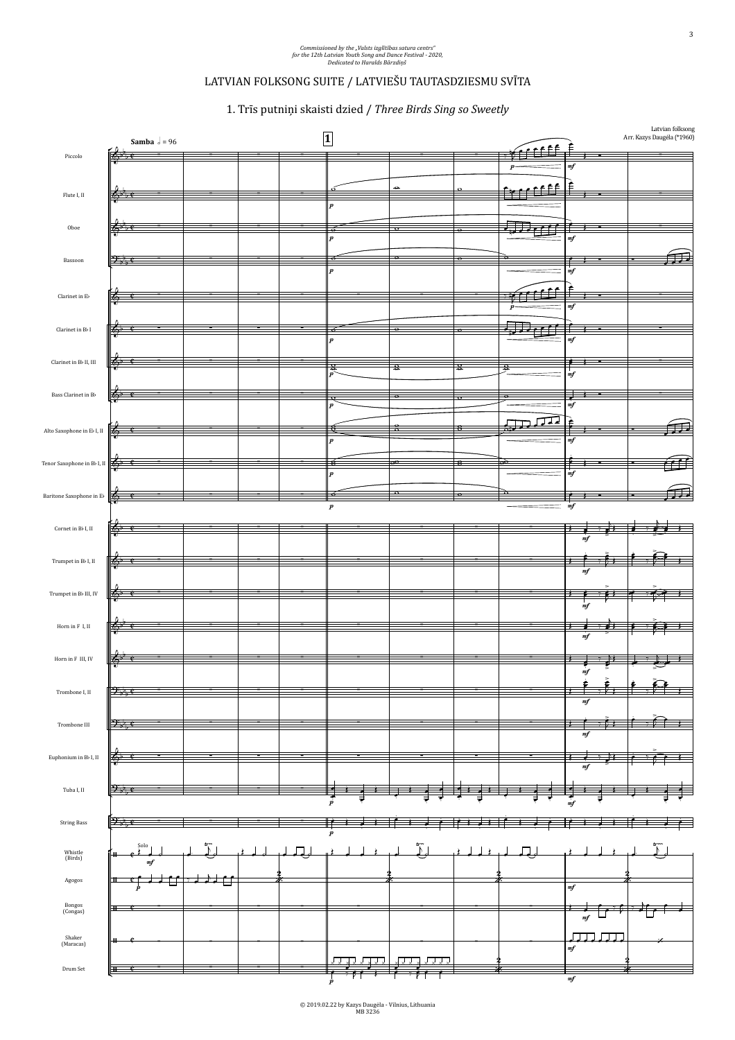## LATVIAN FOLKSONG SUITE / LATVIEŠU TAUTASDZIESMU SVĪTA

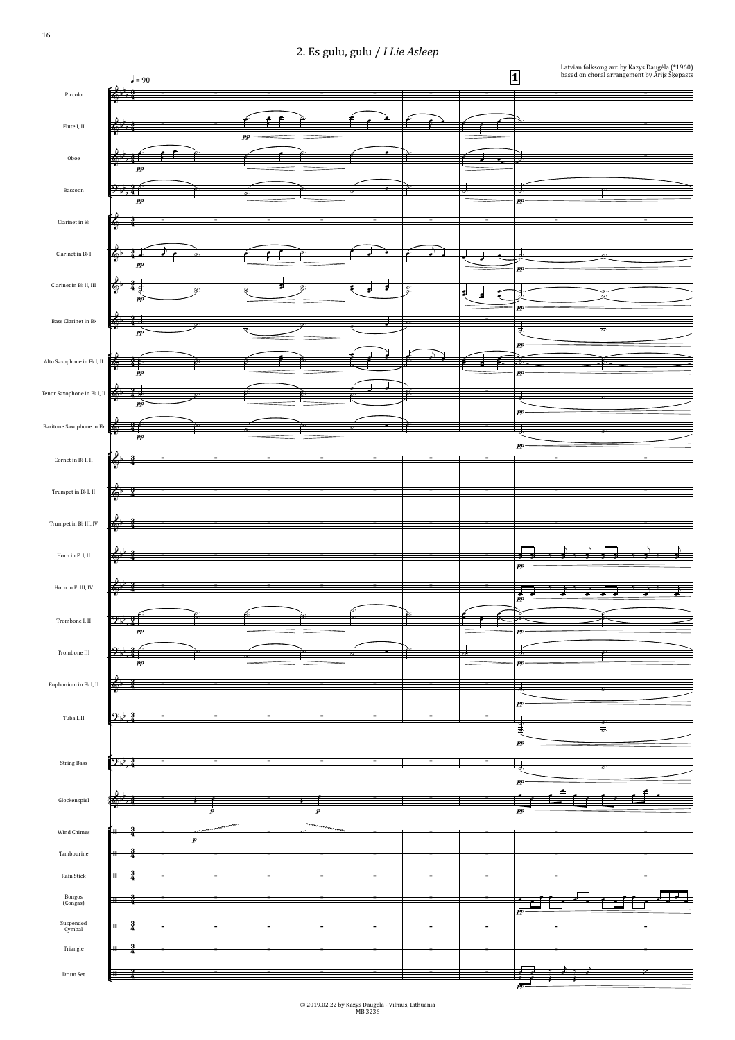°  $\frac{1}{2}$   $\frac{1}{2}$   $\frac{1}{2}$   $\frac{1}{2}$   $\frac{1}{2}$   $\frac{1}{2}$   $\frac{1}{2}$   $\frac{1}{2}$   $\frac{1}{2}$   $\frac{1}{2}$   $\frac{1}{2}$   $\frac{1}{2}$   $\frac{1}{2}$   $\frac{1}{2}$   $\frac{1}{2}$   $\frac{1}{2}$   $\frac{1}{2}$   $\frac{1}{2}$   $\frac{1}{2}$   $\frac{1}{2}$   $\frac{1}{2}$   $\frac{1}{2}$   $\theta$   $\sim$  $\frac{2}{n}$  $\frac{1}{2}$   $\frac{1}{2}$   $\frac{1}{2}$  $\frac{2}{9}$   $\frac{3}{4}$   $\frac{3}{7}$   $\frac{3}{7}$ Piccolo  $\left[ \left( \begin{array}{ccc} 1 & 0 & 0 \\ 0 & 0 & 0 \\ 0 & 0 & 0 \end{array} \right) \right]$ Bassoon  $\left[2, \frac{1}{2}, \frac{3}{4}\right]$  $\leftrightarrow$  3  $\frac{1}{2}$   $\frac{1}{2}$   $\frac{1}{2}$   $\frac{1}{2}$   $\frac{1}{2}$  $\frac{1}{2}$   $\frac{3}{2}$   $\frac{1}{2}$ ¢ **b** Flute I, II Oboe Clarinet in Eb Clarinet in Bb I<br> $\label{eq:1}$  Clarinet in Bb II, III Bass Clarinet in Bb Alto Saxophone in Eb I, II Tenor Saxophone in Bb I, II Baritone Saxophone in EbCornet in Bb I, II Trumpet in Bb I, II Trumpet in Bb III, IV Horn in F I, II Horn in F III, IV Trombone I, II Trombone III Euphonium in Bb I, II Tuba I, II String Bass Glockenspiel Wind Chimes Tambourine Rain Stick Bongos<br>(Congas) Suspended **H** Triangle Drum Set H  $\vert$  = 90 **1** based on choral a  $pp \longrightarrow \longrightarrow \longrightarrow$  $pp$  and  $\Box$ pp pp  $pp$  and  $\Box$  $pp \longrightarrow \longrightarrow \longrightarrow$  $pp$  $pp$  -  $\qquad$  -  $\qquad$  -  $\qquad$  -  $\qquad$  -  $\qquad$  -  $\qquad$  -  $\qquad$  -  $\qquad$  -  $\qquad$  -  $\qquad$  -  $\qquad$  -  $\qquad$  -  $\qquad$  -  $\qquad$  -  $\qquad$  -  $\qquad$  -  $\qquad$  -  $\qquad$  -  $\qquad$  -  $\qquad$  -  $\qquad$  -  $\qquad$  -  $\qquad$  -  $\qquad$  -  $\qquad$  -  $\qquad$  -  $\qquad$   $pp$  and  $pp$  $pp \longrightarrow \longrightarrow \longrightarrow$ pp pp  $pp$  and  $pp$  $pp$  –  $\sim$  –  $\sim$  –  $\sim$  –  $\sim$  –  $\sim$  –  $\sim$  –  $\sim$  –  $\sim$  –  $\sim$  –  $\sim$  –  $\sim$  –  $\sim$  –  $\sim$  –  $\sim$  –  $\sim$  –  $\sim$  –  $\sim$  –  $\sim$  –  $\sim$  –  $\sim$  –  $\sim$  –  $\sim$  –  $\sim$  –  $\sim$  –  $\sim$  –  $\sim$  –  $\sim$  –  $\sim$  –  $\sim$  –  $\sim$  –  $\sim$  pp and the set of the set of the set of the set of the set of the set of the set of the set of the set of the set of the set of the set of the set of the set of the set of the set of the set of the set of the set of the se  $pp$  –  $\sim$  –  $\sim$  –  $\sim$  –  $\sim$  –  $\sim$  –  $\sim$  –  $\sim$  –  $\sim$  –  $\sim$  –  $\sim$  –  $\sim$  –  $\sim$  –  $\sim$  –  $\sim$  –  $\sim$  –  $\sim$  –  $\sim$  –  $\sim$  –  $\sim$  –  $\sim$  –  $\sim$  –  $\sim$  –  $\sim$  –  $\sim$  –  $\sim$  –  $\sim$  –  $\sim$  –  $\sim$  –  $\sim$  –  $\sim$  –  $\sim$   $pp \sim$  $_{pp}$   $\sim$   $\sim$   $\sim$ pp pp pp pp pp pp  $pp$  –  $\sim$  –  $\sim$  –  $\sim$  –  $\sim$  –  $\sim$  –  $\sim$  –  $\sim$  –  $\sim$  –  $\sim$  –  $\sim$  –  $\sim$  –  $\sim$  –  $\sim$  –  $\sim$  –  $\sim$  –  $\sim$  –  $\sim$  –  $\sim$  –  $\sim$  –  $\sim$  –  $\sim$  –  $\sim$  –  $\sim$  –  $\sim$  –  $\sim$  –  $\sim$  –  $\sim$  –  $\sim$  –  $\sim$  –  $\sim$  –  $\sim$  p p pp  $p \sim$  and  $p \sim$  and  $p \sim$  and  $p \sim$ ~~~~~~~~~~~~~~~~~~~~~~ ~~~~~~~~~~~~~~~~~~~~~~  $pp \longrightarrow \longrightarrow \longrightarrow$  $pp \frac{3}{4}$  $6, 3, 6$  $\frac{3}{4}$  $\frac{3}{4}$ ,  $\frac{2}{9}$ ,  $\frac{3}{3}$ ,  $\frac{1}{3}$  $\frac{3}{2}$  $\frac{3}{4}$   $\frac{1}{2}$   $\frac{1}{2}$  $\sqrt{2}$  $\frac{3}{4}$  - $\frac{3}{4}$  $\frac{3}{4}$  $\frac{3}{4}$  $\frac{3}{4}$  $\frac{3}{4}$  $\sqrt{2}$  $\frac{2}{9}$  $\frac{3}{4}$  $\frac{3}{4}$  $\frac{3}{4}$   $\qquad \qquad$   $\qquad$  $\frac{3}{4}$   $\rightarrow$   $\rightarrow$  $\frac{3}{4}$  .  $\frac{3}{4}$  - $\frac{3}{4}$  $\frac{3}{4}$  - $\frac{3}{4}$  .  $\frac{3}{4}$ b ∑ ∑ ∑ ∑ ∑ ∑ ∑ ∑ ∑ Latvian folksong arr. by Kazys Daugėla (\*1960) based on choralarrangement by Ārijs Šķepasts 2. Es gulu, gulu / *<sup>I</sup> Lie Asleep*  $\overset{\circ}{\diamond}$  be a contract of  $\overset{\circ}{\diamond}$ b ∑ ∑ ∑ b ∑ & ∑ ∑ ∑ ∑ ∑ ∑ ∑ ∑ ∑  $\phi$   $\sim$   $\sim$ &b ∑  $\begin{array}{ccc} \bullet & \ast & \ast \\ \end{array}$ **&**b <u>₹</u> *b* and b and b and b and b and b and b and b and b and b and b and b and b and b and b and b and b and b & ∑ &b ∑ ∑ ∑ ∑ ∑ ∑ ∑ ∑ ∑ &b ∑ ∑ ∑ ∑ ∑ ∑ ∑ ∑ ∑ &b ∑ ∑ ∑ ∑ ∑ ∑ ∑ ∑ ∑  $\frac{2}{9}$   $\frac{3}{4}$   $\frac{1}{9}$ b ∑ ∑ ∑ ∑ ∑ ∑ ∑  $\frac{2}{9}$   $\frac{3}{4}$   $\frac{1}{9}$ b ∑ ∑ ∑ ∑ ∑ ∑ ∑  $2\beta_1^2$  ,  $2\beta$  $\mathcal{D}_{\mathfrak{p}}, \mathfrak{p} \in \mathbb{R}$ &b ∑ ∑ ∑ ∑ ∑ ∑ ∑ b ∑ ∑ ∑ ∑ ∑ ∑ ∑  $\partial \psi_{1}$  :  $\frac{1}{2}$  . b ∑ ∑ ∑ ∑ ∑ ∑ ∑ b ∑ ∑ ∑ ∑ ∑ / ∑ ∑ ∑ ∑ ∑ ∑ ∑ / ∑ ∑ ∑ ∑ ∑ ∑ ∑ ∑ ∑ / ∑ ∑ ∑ ∑ ∑ ∑ ∑ ∑ ∑  $\frac{3}{4}$   $\frac{3}{4}$ ∑ ∑ ∑ ∑ ∑ ∑ ∑ / ∑ ∑ ∑ ∑ ∑ ∑ ∑ ∑ ∑ / ∑ ∑ ∑ ∑ ∑ ∑ ∑ ∑ ∑  $\frac{3}{4}$   $\frac{3}{4}$ ∑ ∑ ∑ ∑ ∑ ∑ ∑ ' œ. œ  $\mathcal{F}$  is the contract of  $\mathcal{F}$  $\begin{array}{ccc} \bullet & \hat{\bullet} & \hat{\bullet} & \hat{\bullet} \end{array}$  $\epsilon$  expansion  $\epsilon$  $\Omega$   $\subset$   $\cap$  $\bigcap_{i=1}^n A_i$  $\epsilon$  $\overline{\phantom{a}}$  $\begin{array}{|c|c|c|c|c|}\hline \textbf{r} & \textbf{r} & \textbf{r} \end{array}$  $\bigcap$  $\begin{picture}(10,10) \put(0,0){\line(1,0){10}} \put(10,0){\line(1,0){10}} \put(10,0){\line(1,0){10}} \put(10,0){\line(1,0){10}} \put(10,0){\line(1,0){10}} \put(10,0){\line(1,0){10}} \put(10,0){\line(1,0){10}} \put(10,0){\line(1,0){10}} \put(10,0){\line(1,0){10}} \put(10,0){\line(1,0){10}} \put(10,0){\line(1,0){10}} \put(10,0){\line(1$  $\sum_{\mathbf{p}}$ œ. œ  $\sqrt{2}$  $\sigma$   $\sigma$   $\sim$   $\sigma$   $\sim$   $\sigma$  $\rightarrow$   $\rightarrow$   $\rightarrow$  $\rightarrow$   $\rightarrow$   $\rightarrow$   $\rightarrow$   $\rightarrow$   $\rightarrow$ d en ele œ ˙. ˙. . ˙  $\bullet$   $\qquad$   $\beta$ :  $\overline{\phantom{a}}$ œ ˙ ˙  $\overline{\mathbf{e}}$   $\overline{\mathbf{e}}$   $\overline{\mathbf{e}}$   $\overline{\mathbf{e}}$   $\overline{\mathbf{e}}$   $\overline{\mathbf{e}}$   $\overline{\mathbf{e}}$   $\overline{\mathbf{e}}$   $\overline{\mathbf{e}}$   $\overline{\mathbf{e}}$   $\overline{\mathbf{e}}$   $\overline{\mathbf{e}}$   $\overline{\mathbf{e}}$   $\overline{\mathbf{e}}$   $\overline{\mathbf{e}}$   $\overline{\mathbf{e}}$   $\overline{\mathbf{e}}$   $\overline{\mathbf{e}}$   $\overline{\$ ▞▁<del>▏▞</del>▅ œ œ <sup>œ</sup> ˙ ˙ .<br>. . ˙ ˙ <u>.</u> . ˙. ˙. ˙. ˙. ˙ <sup>œ</sup> ˙. ˙. ˙.  $\epsilon$  is the set of  $\epsilon$  $\frac{1}{2}$  $\begin{array}{ccc} \begin{array}{ccc} \end{array} & \end{array}$  $\epsilon$   $\epsilon$   $\epsilon$   $\epsilon$  $\epsilon$  $\frac{1}{2}$ œ œ  $\begin{array}{c} \begin{array}{c} \begin{array}{c} \end{array} \end{array}$  $D$   $\curvearrowleft$ œ  $\overline{\phantom{a}}$ en de la componiencia de la componiencia de la componiencia de la componiencia de la componiencia de la compo<br>La componiencia de la componiencia de la componiencia de la componiencia de la componiencia de la componiencia œ ˙  $\overline{\phantom{a}}$  $\sum_{i=1}^{n}$ .  $\frac{1}{2}$   $\frac{1}{2}$   $\frac{1}{2}$  $\begin{array}{c} \begin{array}{c} \hline \ \hline \hline \end{array} \end{array}$  $\frac{1}{\alpha}$ .  $\frac{1}{2}$ . ˙. ˙.  $\begin{picture}(10,10) \put(0,0){\line(1,0){155}} \put(15,0){\line(1,0){155}} \put(15,0){\line(1,0){155}} \put(15,0){\line(1,0){155}} \put(15,0){\line(1,0){155}} \put(15,0){\line(1,0){155}} \put(15,0){\line(1,0){155}} \put(15,0){\line(1,0){155}} \put(15,0){\line(1,0){155}} \put(15,0){\line(1,0){155}} \put(15,0){\line(1,0){155}} \$ <sup>œ</sup> ˙. ˙. ˙. œ œ œ **}** , *}* , *}* , *}* , *}* ,  $\sim$   $\sim$   $\sim$   $\sim$ œ ‰ œ  $\cdot$   $\cdot$   $\cdot$   $\cdot$  $\frac{1}{2}$ <del>a</del> bere artista est.  $\overline{a}$ ‰ <sup>œ</sup> <sup>j</sup> ‰ <sup>œ</sup> <sup>j</sup> <sup>œ</sup> <sup>œ</sup>  $\sqrt{2}$  expansion  $\sqrt{2}$  $\sum_{i=1}^{n}$  $\overline{\phantom{0}}$ ˙.  $\overline{\phantom{a}}$ ˙.  $\overline{\mathbf{r}}$  $\sum_{\beta}$  $\epsilon$   $\epsilon$   $\epsilon$ <u>z</u><br>2.  $\sum_{\mathbf{r}}$  $\epsilon$ .  $\epsilon$  $\epsilon$  ,  $\epsilon$  ,  $\epsilon$  $\overline{\phantom{a}}$ <sup>œ</sup> ˙  $\frac{1}{\sqrt{2}}$  $\frac{1}{2}$ .  $\begin{picture}(180,170) \put(0,0){\line(1,0){156}} \put(10,0){\line(1,0){156}} \put(10,0){\line(1,0){156}} \put(10,0){\line(1,0){156}} \put(10,0){\line(1,0){156}} \put(10,0){\line(1,0){156}} \put(10,0){\line(1,0){156}} \put(10,0){\line(1,0){156}} \put(10,0){\line(1,0){156}} \put(10,0){\line(1,0){156}} \put(10,0){\line(1,0){156$  $\sum_{\mathbf{r}}$ ˙. ˙. हरू<br>द . — проставление на селото на селото на селото на селото на селото на селото на селото на селото на селото на<br>Селото на селото на селото на селото на селото на селото на селото на селото на селото на селото на селото на . . ˙ знати производите на селото на селото на селото на селото на селото на селото на селото на селото на селото на<br>Стати . ˙. ˙. <sup>Œ</sup> ˙ <sup>Œ</sup> ˙ <sup>œ</sup> œ c∫ ceanglad da e and the state of the state of the state of the state of the state of the state of the state of the state of the state of the state of the state of the state of the state of the state of the state of the state of the stat  $\epsilon$  and  $\epsilon$  $\cdot$  for  $\cdot$   $\cdot$ e de la companya de la companya de la companya de la companya de la companya de la companya de la companya de<br>Desenvolvers de la companya de la companya de la companya de la companya de la companya de la companya de la c  $\overline{a}$ ˙. ˙. œ œ  $\cdot$   $\overline{\phantom{a}}$  $\sim$   $\sim$   $\sim$   $\sim$   $\sim$   $\sim$ <u>e de la carta de la c</u> <del>。。。。。。。</del> œ  $\overline{C}$   $\rightarrow$   $\overline{C}$   $\rightarrow$   $\overline{C}$  $\frac{\partial y}{\partial x}$ <sup>j</sup> ‰ <sup>œ</sup>  $\sim$